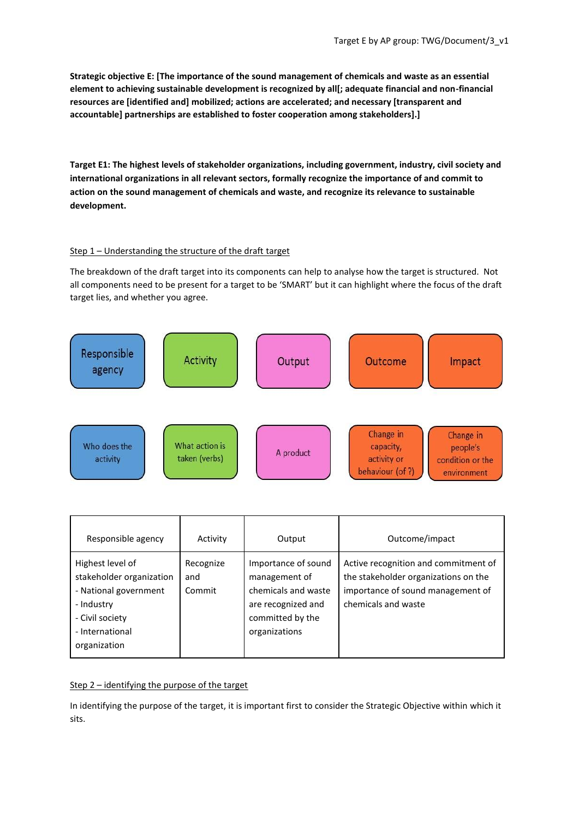**Strategic objective E: [The importance of the sound management of chemicals and waste as an essential element to achieving sustainable development is recognized by all[; adequate financial and non-financial resources are [identified and] mobilized; actions are accelerated; and necessary [transparent and accountable] partnerships are established to foster cooperation among stakeholders].]**

**Target E1: The highest levels of stakeholder organizations, including government, industry, civil society and international organizations in all relevant sectors, formally recognize the importance of and commit to action on the sound management of chemicals and waste, and recognize its relevance to sustainable development.**

### Step 1 – Understanding the structure of the draft target

The breakdown of the draft target into its components can help to analyse how the target is structured. Not all components need to be present for a target to be 'SMART' but it can highlight where the focus of the draft target lies, and whether you agree.



| Responsible agency                                                                                                                        | Activity                   | Output                                                                                                                 | Outcome/impact                                                                                                                           |
|-------------------------------------------------------------------------------------------------------------------------------------------|----------------------------|------------------------------------------------------------------------------------------------------------------------|------------------------------------------------------------------------------------------------------------------------------------------|
| Highest level of<br>stakeholder organization<br>- National government<br>- Industry<br>- Civil society<br>- International<br>organization | Recognize<br>and<br>Commit | Importance of sound<br>management of<br>chemicals and waste<br>are recognized and<br>committed by the<br>organizations | Active recognition and commitment of<br>the stakeholder organizations on the<br>importance of sound management of<br>chemicals and waste |

### Step 2 – identifying the purpose of the target

In identifying the purpose of the target, it is important first to consider the Strategic Objective within which it sits.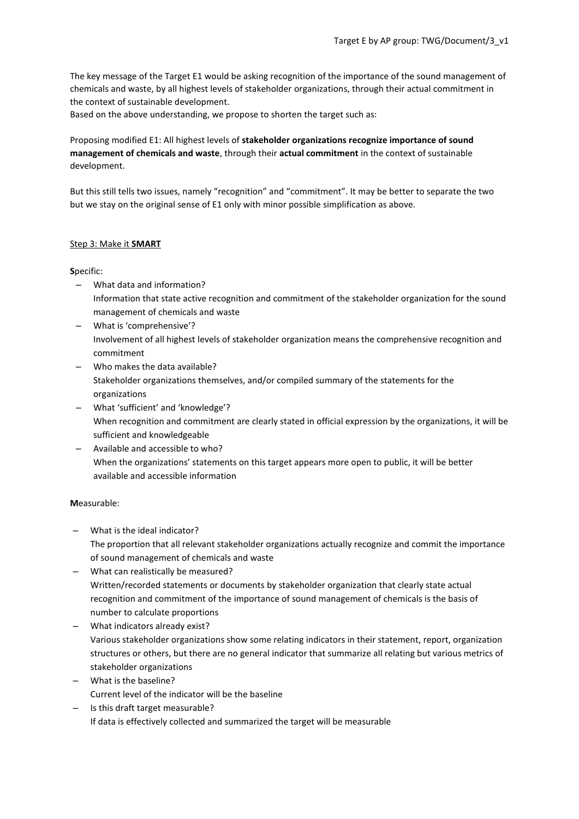The key message of the Target E1 would be asking recognition of the importance of the sound management of chemicals and waste, by all highest levels of stakeholder organizations, through their actual commitment in the context of sustainable development.

Based on the above understanding, we propose to shorten the target such as:

# Proposing modified E1: All highest levels of **stakeholder organizations recognize importance of sound management of chemicals and waste**, through their **actual commitment** in the context of sustainable development.

But this still tells two issues, namely "recognition" and "commitment". It may be better to separate the two but we stay on the original sense of E1 only with minor possible simplification as above.

# Step 3: Make it **SMART**

# **S**pecific:

- What data and information? Information that state active recognition and commitment of the stakeholder organization for the sound management of chemicals and waste
- What is 'comprehensive'? Involvement of all highest levels of stakeholder organization means the comprehensive recognition and commitment
- Who makes the data available? Stakeholder organizations themselves, and/or compiled summary of the statements for the organizations
- What 'sufficient' and 'knowledge'? When recognition and commitment are clearly stated in official expression by the organizations, it will be sufficient and knowledgeable
- Available and accessible to who? When the organizations' statements on this target appears more open to public, it will be better available and accessible information

# **M**easurable:

- What is the ideal indicator? The proportion that all relevant stakeholder organizations actually recognize and commit the importance of sound management of chemicals and waste
- What can realistically be measured? Written/recorded statements or documents by stakeholder organization that clearly state actual recognition and commitment of the importance of sound management of chemicals is the basis of number to calculate proportions
- What indicators already exist? Various stakeholder organizations show some relating indicators in their statement, report, organization structures or others, but there are no general indicator that summarize all relating but various metrics of stakeholder organizations
- What is the baseline? Current level of the indicator will be the baseline
- Is this draft target measurable? If data is effectively collected and summarized the target will be measurable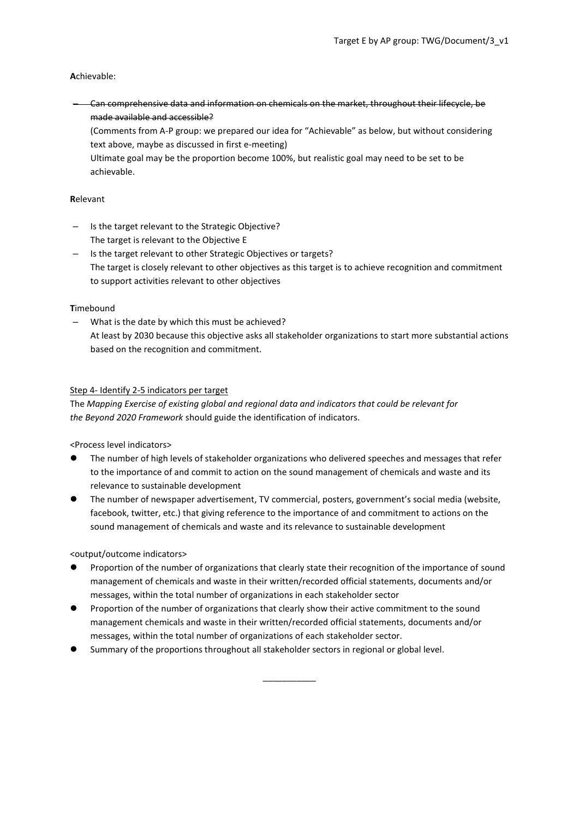# **A**chievable:

– Can comprehensive data and information on chemicals on the market, throughout their lifecycle, be made available and accessible?

(Comments from A-P group: we prepared our idea for "Achievable" as below, but without considering text above, maybe as discussed in first e-meeting)

Ultimate goal may be the proportion become 100%, but realistic goal may need to be set to be achievable.

### **R**elevant

- Is the target relevant to the Strategic Objective? The target is relevant to the Objective E
- Is the target relevant to other Strategic Objectives or targets? The target is closely relevant to other objectives as this target is to achieve recognition and commitment to support activities relevant to other objectives

#### **T**imebound

– What is the date by which this must be achieved? At least by 2030 because this objective asks all stakeholder organizations to start more substantial actions based on the recognition and commitment.

### Step 4- Identify 2-5 indicators per target

The *Mapping Exercise of existing global and regional data and indicators that could be relevant for the Beyond 2020 Framework* should guide the identification of indicators.

<Process level indicators>

- ⚫ The number of high levels of stakeholder organizations who delivered speeches and messages that refer to the importance of and commit to action on the sound management of chemicals and waste and its relevance to sustainable development
- ⚫ The number of newspaper advertisement, TV commercial, posters, government's social media (website, facebook, twitter, etc.) that giving reference to the importance of and commitment to actions on the sound management of chemicals and waste and its relevance to sustainable development

### <output/outcome indicators>

Proportion of the number of organizations that clearly state their recognition of the importance of sound management of chemicals and waste in their written/recorded official statements, documents and/or messages, within the total number of organizations in each stakeholder sector

\_\_\_\_\_\_\_\_\_\_\_

- Proportion of the number of organizations that clearly show their active commitment to the sound management chemicals and waste in their written/recorded official statements, documents and/or messages, within the total number of organizations of each stakeholder sector.
- ⚫ Summary of the proportions throughout all stakeholder sectors in regional or global level.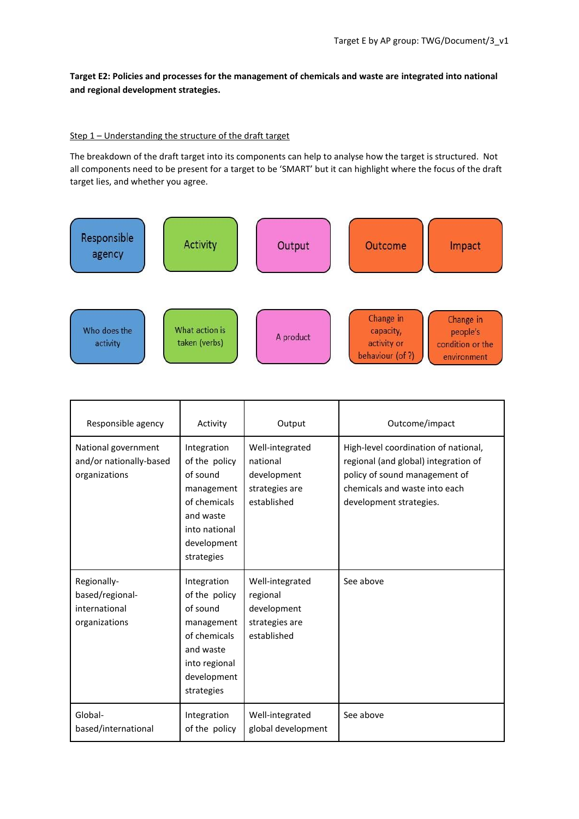**Target E2: Policies and processes for the management of chemicals and waste are integrated into national and regional development strategies.**

#### Step 1 – Understanding the structure of the draft target

The breakdown of the draft target into its components can help to analyse how the target is structured. Not all components need to be present for a target to be 'SMART' but it can highlight where the focus of the draft target lies, and whether you agree.



| Responsible agency                                               | Activity                                                                                                                          | Output                                                                      | Outcome/impact                                                                                                                                                            |
|------------------------------------------------------------------|-----------------------------------------------------------------------------------------------------------------------------------|-----------------------------------------------------------------------------|---------------------------------------------------------------------------------------------------------------------------------------------------------------------------|
| National government<br>and/or nationally-based<br>organizations  | Integration<br>of the policy<br>of sound<br>management<br>of chemicals<br>and waste<br>into national<br>development<br>strategies | Well-integrated<br>national<br>development<br>strategies are<br>established | High-level coordination of national,<br>regional (and global) integration of<br>policy of sound management of<br>chemicals and waste into each<br>development strategies. |
| Regionally-<br>based/regional-<br>international<br>organizations | Integration<br>of the policy<br>of sound<br>management<br>of chemicals<br>and waste<br>into regional<br>development<br>strategies | Well-integrated<br>regional<br>development<br>strategies are<br>established | See above                                                                                                                                                                 |
| Global-<br>based/international                                   | Integration<br>of the policy                                                                                                      | Well-integrated<br>global development                                       | See above                                                                                                                                                                 |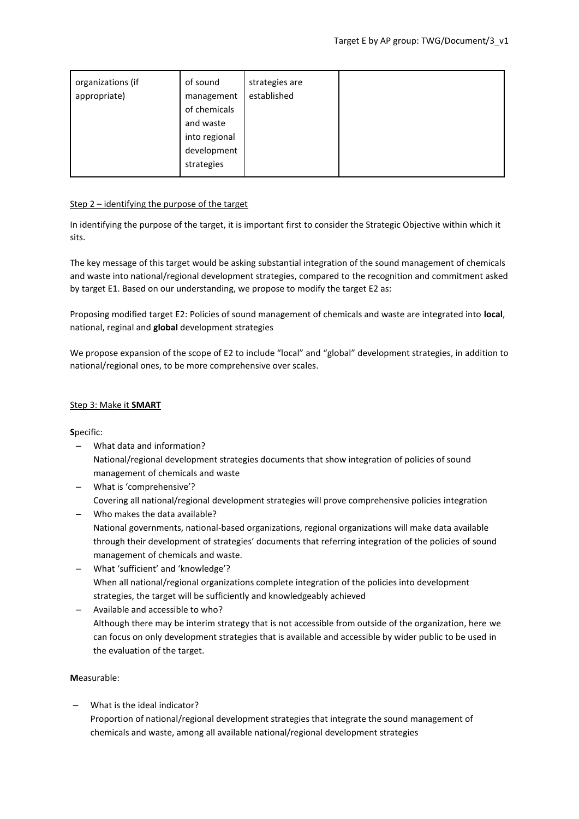| organizations (if<br>appropriate) | of sound<br>management<br>of chemicals<br>and waste<br>into regional<br>development<br>strategies | strategies are<br>established |  |  |
|-----------------------------------|---------------------------------------------------------------------------------------------------|-------------------------------|--|--|
|-----------------------------------|---------------------------------------------------------------------------------------------------|-------------------------------|--|--|

### Step 2 – identifying the purpose of the target

In identifying the purpose of the target, it is important first to consider the Strategic Objective within which it sits.

The key message of this target would be asking substantial integration of the sound management of chemicals and waste into national/regional development strategies, compared to the recognition and commitment asked by target E1. Based on our understanding, we propose to modify the target E2 as:

Proposing modified target E2: Policies of sound management of chemicals and waste are integrated into **local**, national, reginal and **global** development strategies

We propose expansion of the scope of E2 to include "local" and "global" development strategies, in addition to national/regional ones, to be more comprehensive over scales.

# Step 3: Make it **SMART**

**S**pecific:

- What data and information? National/regional development strategies documents that show integration of policies of sound management of chemicals and waste
- What is 'comprehensive'? Covering all national/regional development strategies will prove comprehensive policies integration
- Who makes the data available? National governments, national-based organizations, regional organizations will make data available through their development of strategies' documents that referring integration of the policies of sound management of chemicals and waste.
- What 'sufficient' and 'knowledge'? When all national/regional organizations complete integration of the policies into development strategies, the target will be sufficiently and knowledgeably achieved
- Available and accessible to who? Although there may be interim strategy that is not accessible from outside of the organization, here we can focus on only development strategies that is available and accessible by wider public to be used in the evaluation of the target.

# **M**easurable:

– What is the ideal indicator? Proportion of national/regional development strategies that integrate the sound management of chemicals and waste, among all available national/regional development strategies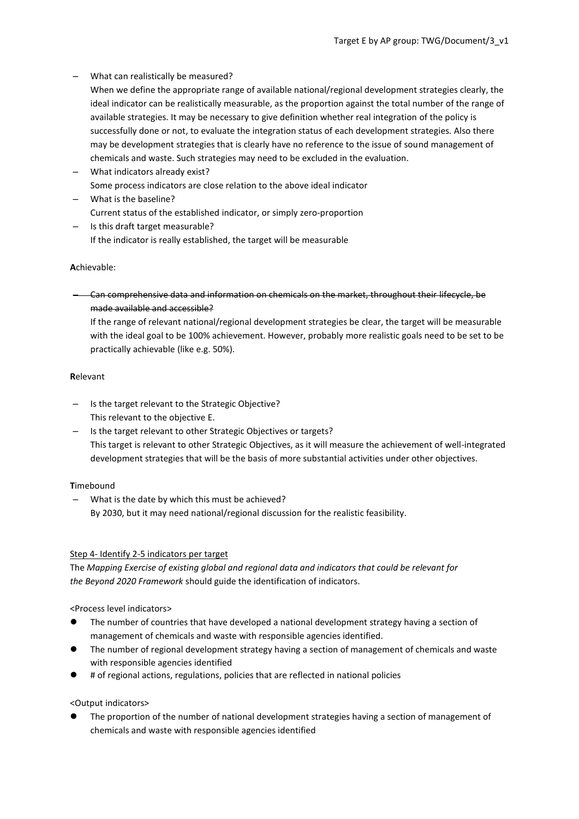- What can realistically be measured?
	- When we define the appropriate range of available national/regional development strategies clearly, the ideal indicator can be realistically measurable, as the proportion against the total number of the range of available strategies. It may be necessary to give definition whether real integration of the policy is successfully done or not, to evaluate the integration status of each development strategies. Also there may be development strategies that is clearly have no reference to the issue of sound management of chemicals and waste. Such strategies may need to be excluded in the evaluation.
- What indicators already exist? Some process indicators are close relation to the above ideal indicator
- What is the baseline? Current status of the established indicator, or simply zero-proportion
- Is this draft target measurable? If the indicator is really established, the target will be measurable

# **A**chievable:

– Can comprehensive data and information on chemicals on the market, throughout their lifecycle, be made available and accessible?

If the range of relevant national/regional development strategies be clear, the target will be measurable with the ideal goal to be 100% achievement. However, probably more realistic goals need to be set to be practically achievable (like e.g. 50%).

### **R**elevant

- Is the target relevant to the Strategic Objective? This relevant to the objective E.
- Is the target relevant to other Strategic Objectives or targets? This target is relevant to other Strategic Objectives, as it will measure the achievement of well-integrated development strategies that will be the basis of more substantial activities under other objectives.

# **T**imebound

– What is the date by which this must be achieved? By 2030, but it may need national/regional discussion for the realistic feasibility.

### Step 4- Identify 2-5 indicators per target

The *Mapping Exercise of existing global and regional data and indicators that could be relevant for the Beyond 2020 Framework* should guide the identification of indicators.

<Process level indicators>

- ⚫ The number of countries that have developed a national development strategy having a section of management of chemicals and waste with responsible agencies identified.
- ⚫ The number of regional development strategy having a section of management of chemicals and waste with responsible agencies identified
- ⚫ # of regional actions, regulations, policies that are reflected in national policies

### <Output indicators>

⚫ The proportion of the number of national development strategies having a section of management of chemicals and waste with responsible agencies identified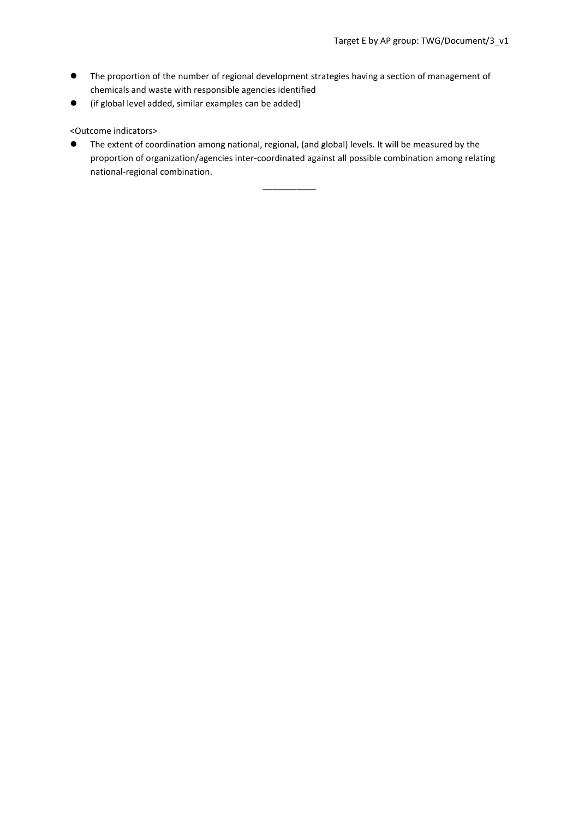- ⚫ The proportion of the number of regional development strategies having a section of management of chemicals and waste with responsible agencies identified
- ⚫ (if global level added, similar examples can be added)

# <Outcome indicators>

⚫ The extent of coordination among national, regional, (and global) levels. It will be measured by the proportion of organization/agencies inter-coordinated against all possible combination among relating national-regional combination.

\_\_\_\_\_\_\_\_\_\_\_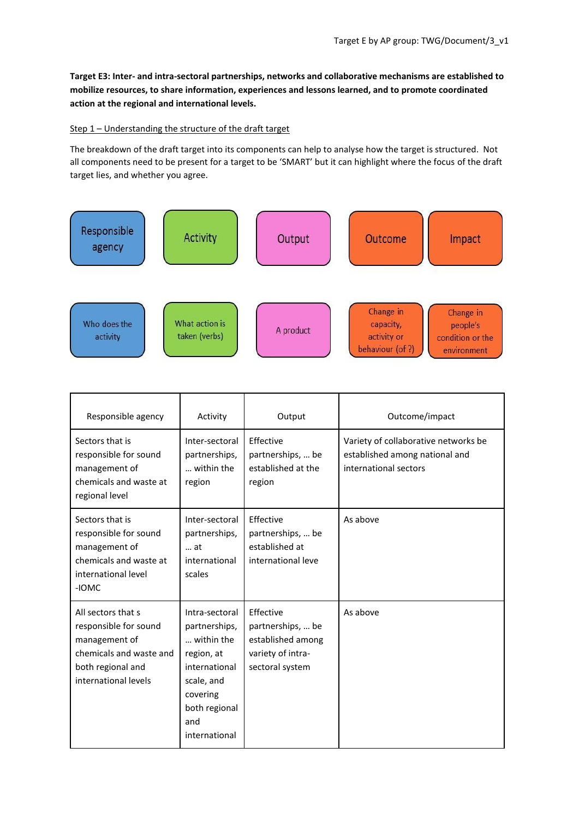**Target E3: Inter- and intra-sectoral partnerships, networks and collaborative mechanisms are established to mobilize resources, to share information, experiences and lessons learned, and to promote coordinated action at the regional and international levels.**

### Step 1 – Understanding the structure of the draft target

The breakdown of the draft target into its components can help to analyse how the target is structured. Not all components need to be present for a target to be 'SMART' but it can highlight where the focus of the draft target lies, and whether you agree.



| Responsible agency                                                                                                                   | Activity                                                                                                                                        | Output                                                                                      | Outcome/impact                                                                                  |
|--------------------------------------------------------------------------------------------------------------------------------------|-------------------------------------------------------------------------------------------------------------------------------------------------|---------------------------------------------------------------------------------------------|-------------------------------------------------------------------------------------------------|
| Sectors that is<br>responsible for sound<br>management of<br>chemicals and waste at<br>regional level                                | Inter-sectoral<br>partnerships,<br>within the<br>region                                                                                         | Effective<br>partnerships,  be<br>established at the<br>region                              | Variety of collaborative networks be<br>established among national and<br>international sectors |
| Sectors that is<br>responsible for sound<br>management of<br>chemicals and waste at<br>international level<br>-IOMC                  | Inter-sectoral<br>partnerships,<br>at<br>international<br>scales                                                                                | Effective<br>partnerships,  be<br>established at<br>international leve                      | As above                                                                                        |
| All sectors that s<br>responsible for sound<br>management of<br>chemicals and waste and<br>both regional and<br>international levels | Intra-sectoral<br>partnerships,<br>within the<br>region, at<br>international<br>scale, and<br>covering<br>both regional<br>and<br>international | Effective<br>partnerships,  be<br>established among<br>variety of intra-<br>sectoral system | As above                                                                                        |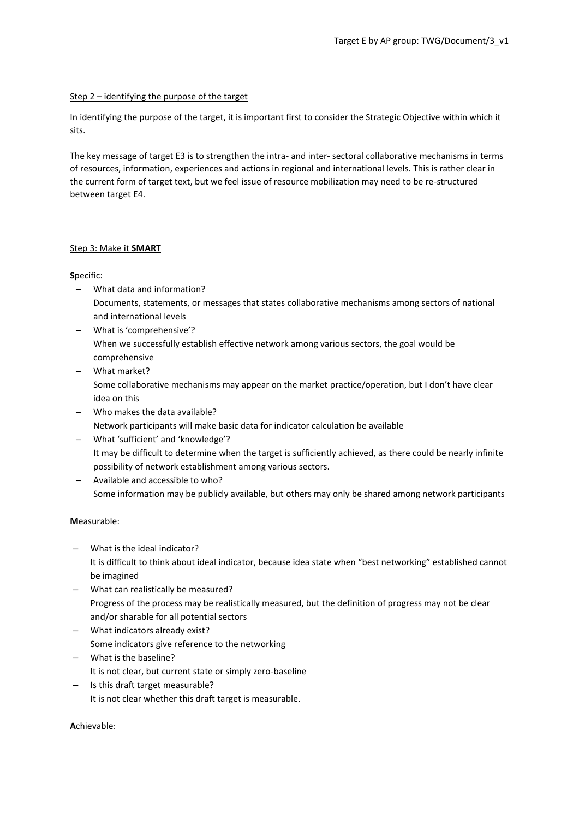### Step 2 – identifying the purpose of the target

In identifying the purpose of the target, it is important first to consider the Strategic Objective within which it sits.

The key message of target E3 is to strengthen the intra- and inter- sectoral collaborative mechanisms in terms of resources, information, experiences and actions in regional and international levels. This is rather clear in the current form of target text, but we feel issue of resource mobilization may need to be re-structured between target E4.

# Step 3: Make it **SMART**

# **S**pecific:

- What data and information? Documents, statements, or messages that states collaborative mechanisms among sectors of national and international levels
- What is 'comprehensive'? When we successfully establish effective network among various sectors, the goal would be comprehensive
- What market? Some collaborative mechanisms may appear on the market practice/operation, but I don't have clear idea on this
- Who makes the data available? Network participants will make basic data for indicator calculation be available
- What 'sufficient' and 'knowledge'? It may be difficult to determine when the target is sufficiently achieved, as there could be nearly infinite possibility of network establishment among various sectors.
- Available and accessible to who? Some information may be publicly available, but others may only be shared among network participants

# **M**easurable:

- What is the ideal indicator? It is difficult to think about ideal indicator, because idea state when "best networking" established cannot be imagined
- What can realistically be measured? Progress of the process may be realistically measured, but the definition of progress may not be clear and/or sharable for all potential sectors
- What indicators already exist? Some indicators give reference to the networking
- What is the baseline? It is not clear, but current state or simply zero-baseline
- Is this draft target measurable? It is not clear whether this draft target is measurable.

# **A**chievable: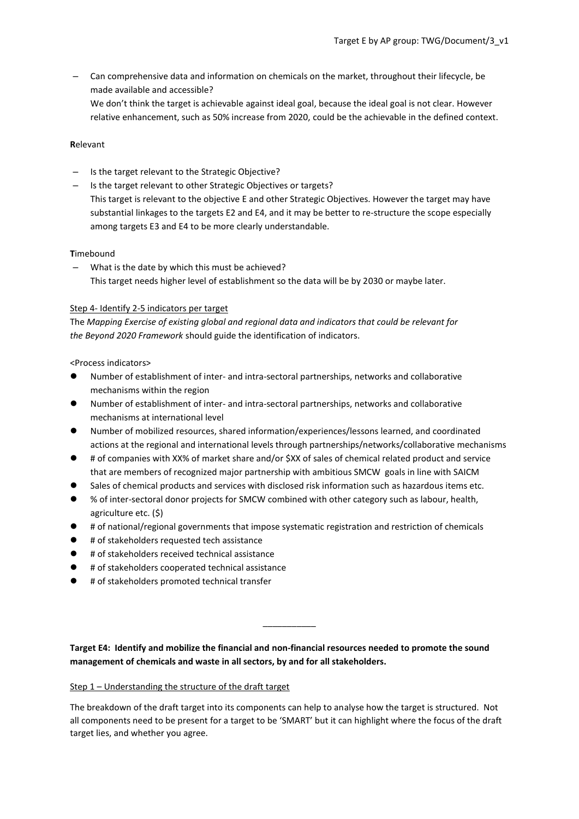– Can comprehensive data and information on chemicals on the market, throughout their lifecycle, be made available and accessible? We don't think the target is achievable against ideal goal, because the ideal goal is not clear. However relative enhancement, such as 50% increase from 2020, could be the achievable in the defined context.

#### **R**elevant

- Is the target relevant to the Strategic Objective?
- Is the target relevant to other Strategic Objectives or targets? This target is relevant to the objective E and other Strategic Objectives. However the target may have substantial linkages to the targets E2 and E4, and it may be better to re-structure the scope especially among targets E3 and E4 to be more clearly understandable.

### **T**imebound

What is the date by which this must be achieved? This target needs higher level of establishment so the data will be by 2030 or maybe later.

#### Step 4- Identify 2-5 indicators per target

The *Mapping Exercise of existing global and regional data and indicators that could be relevant for the Beyond 2020 Framework* should guide the identification of indicators.

#### <Process indicators>

- ⚫ Number of establishment of inter- and intra-sectoral partnerships, networks and collaborative mechanisms within the region
- ⚫ Number of establishment of inter- and intra-sectoral partnerships, networks and collaborative mechanisms at international level
- ⚫ Number of mobilized resources, shared information/experiences/lessons learned, and coordinated actions at the regional and international levels through partnerships/networks/collaborative mechanisms
- # of companies with XX% of market share and/or \$XX of sales of chemical related product and service that are members of recognized major partnership with ambitious SMCW goals in line with SAICM
- Sales of chemical products and services with disclosed risk information such as hazardous items etc.
- ⚫ % of inter-sectoral donor projects for SMCW combined with other category such as labour, health, agriculture etc. (\$)
- ⚫ # of national/regional governments that impose systematic registration and restriction of chemicals
- ⚫ # of stakeholders requested tech assistance
- ⚫ # of stakeholders received technical assistance
- ⚫ # of stakeholders cooperated technical assistance
- ⚫ # of stakeholders promoted technical transfer

**Target E4: Identify and mobilize the financial and non-financial resources needed to promote the sound management of chemicals and waste in all sectors, by and for all stakeholders.**

\_\_\_\_\_\_\_\_\_\_\_

### Step 1 – Understanding the structure of the draft target

The breakdown of the draft target into its components can help to analyse how the target is structured. Not all components need to be present for a target to be 'SMART' but it can highlight where the focus of the draft target lies, and whether you agree.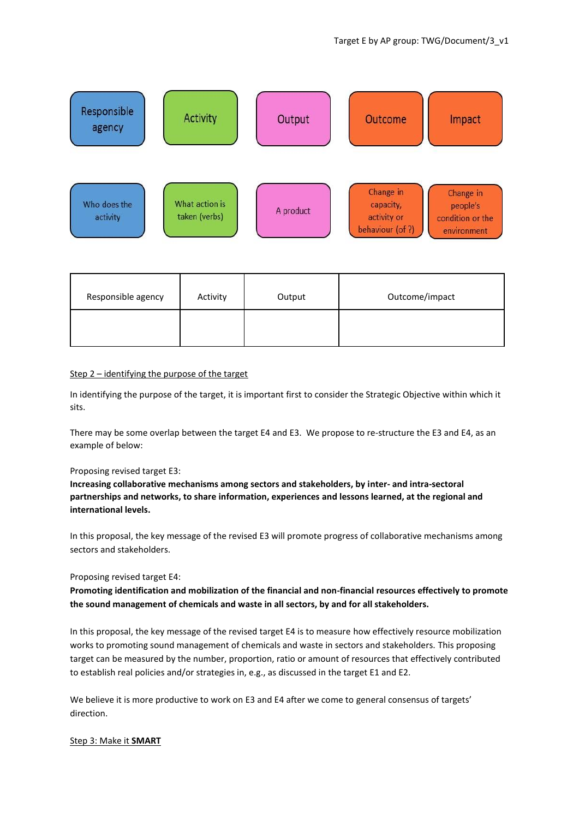

| Responsible agency | Activity | Output | Outcome/impact |
|--------------------|----------|--------|----------------|
|                    |          |        |                |

### Step 2 – identifying the purpose of the target

In identifying the purpose of the target, it is important first to consider the Strategic Objective within which it sits.

There may be some overlap between the target E4 and E3. We propose to re-structure the E3 and E4, as an example of below:

#### Proposing revised target E3:

**Increasing collaborative mechanisms among sectors and stakeholders, by inter- and intra-sectoral partnerships and networks, to share information, experiences and lessons learned, at the regional and international levels.**

In this proposal, the key message of the revised E3 will promote progress of collaborative mechanisms among sectors and stakeholders.

#### Proposing revised target E4:

**Promoting identification and mobilization of the financial and non-financial resources effectively to promote the sound management of chemicals and waste in all sectors, by and for all stakeholders.**

In this proposal, the key message of the revised target E4 is to measure how effectively resource mobilization works to promoting sound management of chemicals and waste in sectors and stakeholders. This proposing target can be measured by the number, proportion, ratio or amount of resources that effectively contributed to establish real policies and/or strategies in, e.g., as discussed in the target E1 and E2.

We believe it is more productive to work on E3 and E4 after we come to general consensus of targets' direction.

### Step 3: Make it **SMART**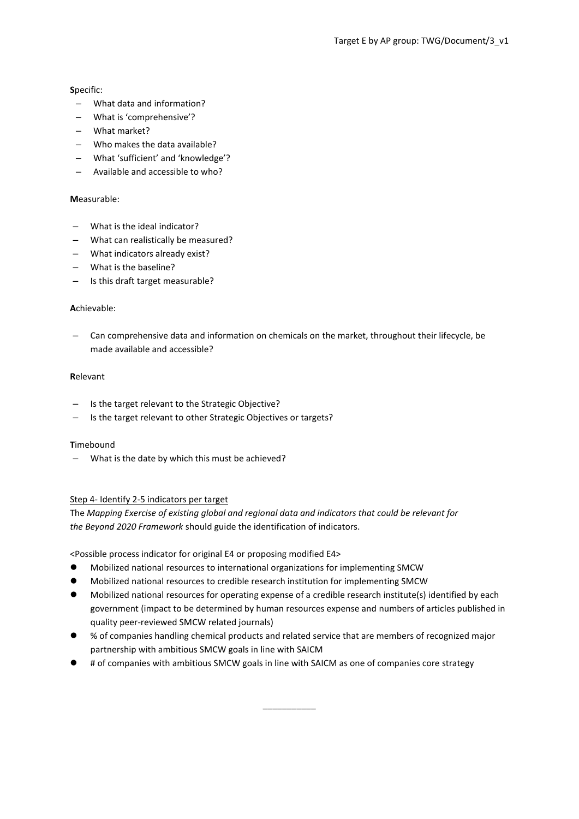### **S**pecific:

- What data and information?
- What is 'comprehensive'?
- What market?
- Who makes the data available?
- What 'sufficient' and 'knowledge'?
- Available and accessible to who?

### **M**easurable:

- What is the ideal indicator?
- What can realistically be measured?
- What indicators already exist?
- What is the baseline?
- Is this draft target measurable?

### **A**chievable:

– Can comprehensive data and information on chemicals on the market, throughout their lifecycle, be made available and accessible?

### **R**elevant

- Is the target relevant to the Strategic Objective?
- Is the target relevant to other Strategic Objectives or targets?

### **T**imebound

What is the date by which this must be achieved?

### Step 4- Identify 2-5 indicators per target

The *Mapping Exercise of existing global and regional data and indicators that could be relevant for the Beyond 2020 Framework* should guide the identification of indicators.

<Possible process indicator for original E4 or proposing modified E4>

- ⚫ Mobilized national resources to international organizations for implementing SMCW
- ⚫ Mobilized national resources to credible research institution for implementing SMCW
- ⚫ Mobilized national resources for operating expense of a credible research institute(s) identified by each government (impact to be determined by human resources expense and numbers of articles published in quality peer-reviewed SMCW related journals)
- ⚫ % of companies handling chemical products and related service that are members of recognized major partnership with ambitious SMCW goals in line with SAICM

\_\_\_\_\_\_\_\_\_\_\_

⚫ # of companies with ambitious SMCW goals in line with SAICM as one of companies core strategy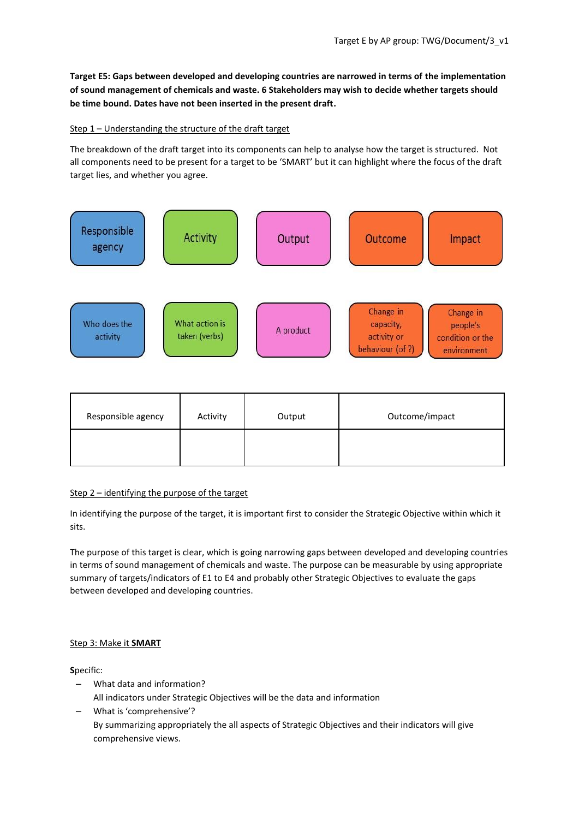**Target E5: Gaps between developed and developing countries are narrowed in terms of the implementation of sound management of chemicals and waste. 6 Stakeholders may wish to decide whether targets should be time bound. Dates have not been inserted in the present draft.**

# Step 1 – Understanding the structure of the draft target

The breakdown of the draft target into its components can help to analyse how the target is structured. Not all components need to be present for a target to be 'SMART' but it can highlight where the focus of the draft target lies, and whether you agree.



| Responsible agency | Activity | Output | Outcome/impact |
|--------------------|----------|--------|----------------|
|                    |          |        |                |

### Step 2 – identifying the purpose of the target

In identifying the purpose of the target, it is important first to consider the Strategic Objective within which it sits.

The purpose of this target is clear, which is going narrowing gaps between developed and developing countries in terms of sound management of chemicals and waste. The purpose can be measurable by using appropriate summary of targets/indicators of E1 to E4 and probably other Strategic Objectives to evaluate the gaps between developed and developing countries.

### Step 3: Make it **SMART**

**S**pecific:

- What data and information?
- All indicators under Strategic Objectives will be the data and information
- What is 'comprehensive'? By summarizing appropriately the all aspects of Strategic Objectives and their indicators will give comprehensive views.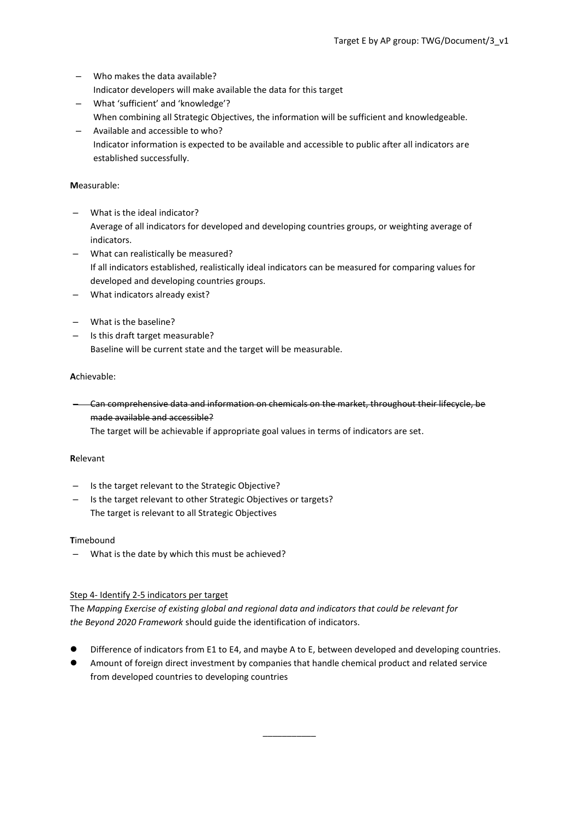- Who makes the data available? Indicator developers will make available the data for this target
- What 'sufficient' and 'knowledge'? When combining all Strategic Objectives, the information will be sufficient and knowledgeable.
- Available and accessible to who? Indicator information is expected to be available and accessible to public after all indicators are established successfully.

### **M**easurable:

- What is the ideal indicator? Average of all indicators for developed and developing countries groups, or weighting average of indicators.
- What can realistically be measured? If all indicators established, realistically ideal indicators can be measured for comparing values for developed and developing countries groups.
- What indicators already exist?
- What is the baseline?
- Is this draft target measurable? Baseline will be current state and the target will be measurable.

# **A**chievable:

– Can comprehensive data and information on chemicals on the market, throughout their lifecycle, be made available and accessible?

The target will be achievable if appropriate goal values in terms of indicators are set.

### **R**elevant

- Is the target relevant to the Strategic Objective?
- Is the target relevant to other Strategic Objectives or targets? The target is relevant to all Strategic Objectives

### **T**imebound

– What is the date by which this must be achieved?

### Step 4- Identify 2-5 indicators per target

The *Mapping Exercise of existing global and regional data and indicators that could be relevant for the Beyond 2020 Framework* should guide the identification of indicators.

Difference of indicators from E1 to E4, and maybe A to E, between developed and developing countries.

\_\_\_\_\_\_\_\_\_\_\_

⚫ Amount of foreign direct investment by companies that handle chemical product and related service from developed countries to developing countries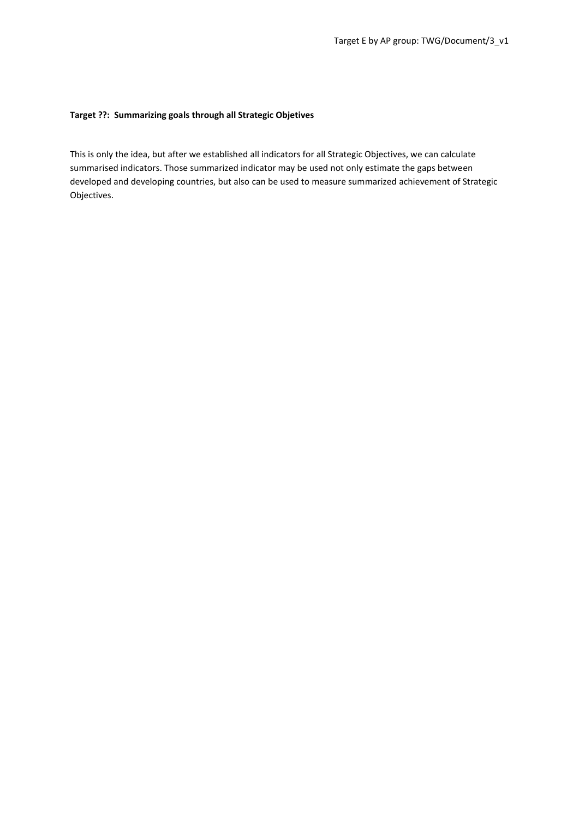### **Target ??: Summarizing goals through all Strategic Objetives**

This is only the idea, but after we established all indicators for all Strategic Objectives, we can calculate summarised indicators. Those summarized indicator may be used not only estimate the gaps between developed and developing countries, but also can be used to measure summarized achievement of Strategic Objectives.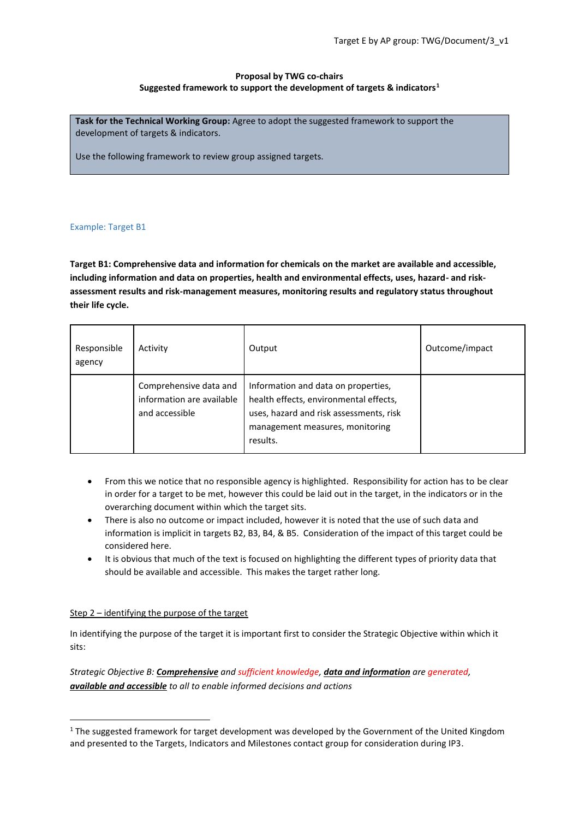# **Proposal by TWG co-chairs Suggested framework to support the development of targets & indicators<sup>1</sup>**

**Task for the Technical Working Group:** Agree to adopt the suggested framework to support the development of targets & indicators.

Use the following framework to review group assigned targets.

### Example: Target B1

**Target B1: Comprehensive data and information for chemicals on the market are available and accessible, including information and data on properties, health and environmental effects, uses, hazard- and riskassessment results and risk-management measures, monitoring results and regulatory status throughout their life cycle.**

| Responsible<br>agency | Activity                                                              | Output                                                                                                                                                                  | Outcome/impact |
|-----------------------|-----------------------------------------------------------------------|-------------------------------------------------------------------------------------------------------------------------------------------------------------------------|----------------|
|                       | Comprehensive data and<br>information are available<br>and accessible | Information and data on properties,<br>health effects, environmental effects,<br>uses, hazard and risk assessments, risk<br>management measures, monitoring<br>results. |                |

- From this we notice that no responsible agency is highlighted. Responsibility for action has to be clear in order for a target to be met, however this could be laid out in the target, in the indicators or in the overarching document within which the target sits.
- There is also no outcome or impact included, however it is noted that the use of such data and information is implicit in targets B2, B3, B4, & B5. Consideration of the impact of this target could be considered here.
- It is obvious that much of the text is focused on highlighting the different types of priority data that should be available and accessible. This makes the target rather long.

### Step 2 – identifying the purpose of the target

1

In identifying the purpose of the target it is important first to consider the Strategic Objective within which it sits:

*Strategic Objective B: Comprehensive and sufficient knowledge, data and information are generated, available and accessible to all to enable informed decisions and actions*

 $1$  The suggested framework for target development was developed by the Government of the United Kingdom and presented to the Targets, Indicators and Milestones contact group for consideration during IP3.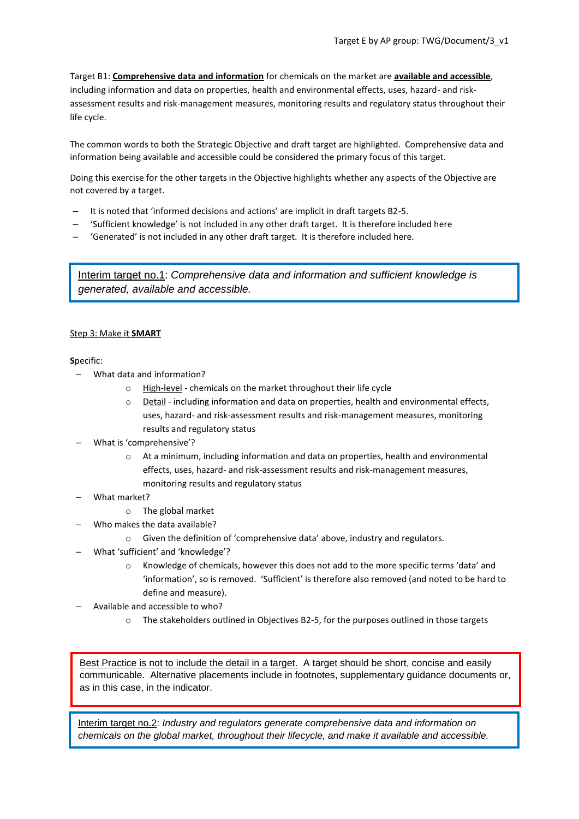Target B1: **Comprehensive data and information** for chemicals on the market are **available and accessible**, including information and data on properties, health and environmental effects, uses, hazard- and riskassessment results and risk-management measures, monitoring results and regulatory status throughout their life cycle.

The common words to both the Strategic Objective and draft target are highlighted. Comprehensive data and information being available and accessible could be considered the primary focus of this target.

Doing this exercise for the other targets in the Objective highlights whether any aspects of the Objective are not covered by a target.

- It is noted that 'informed decisions and actions' are implicit in draft targets B2-5.
- 'Sufficient knowledge' is not included in any other draft target. It is therefore included here
- 'Generated' is not included in any other draft target. It is therefore included here.

Interim target no.1: *Comprehensive data and information and sufficient knowledge is generated, available and accessible.*

### Step 3: Make it **SMART**

### **S**pecific:

- What data and information?
	- o High-level chemicals on the market throughout their life cycle
	- $\circ$  Detail including information and data on properties, health and environmental effects, uses, hazard- and risk-assessment results and risk-management measures, monitoring results and regulatory status
- What is 'comprehensive'?
	- o At a minimum, including information and data on properties, health and environmental effects, uses, hazard- and risk-assessment results and risk-management measures, monitoring results and regulatory status
- What market?
	- o The global market
	- Who makes the data available?
		- o Given the definition of 'comprehensive data' above, industry and regulators.
- What 'sufficient' and 'knowledge'?
	- o Knowledge of chemicals, however this does not add to the more specific terms 'data' and 'information', so is removed. 'Sufficient' is therefore also removed (and noted to be hard to define and measure).
- Available and accessible to who?
	- o The stakeholders outlined in Objectives B2-5, for the purposes outlined in those targets

Best Practice is not to include the detail in a target. A target should be short, concise and easily communicable. Alternative placements include in footnotes, supplementary guidance documents or, as in this case, in the indicator.

Interim target no.2: *Industry and regulators generate comprehensive data and information on chemicals on the global market, throughout their lifecycle, and make it available and accessible.*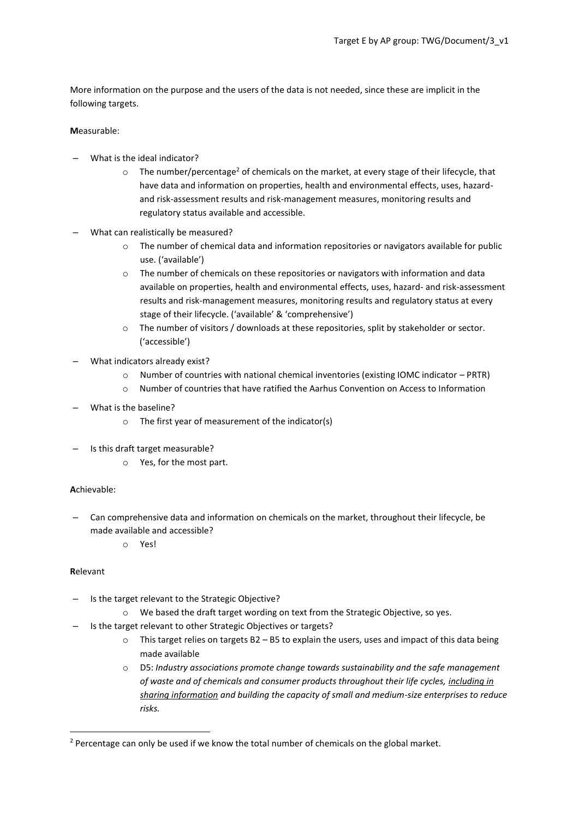More information on the purpose and the users of the data is not needed, since these are implicit in the following targets.

# **M**easurable:

- What is the ideal indicator?
	- $\circ$  The number/percentage<sup>2</sup> of chemicals on the market, at every stage of their lifecycle, that have data and information on properties, health and environmental effects, uses, hazardand risk-assessment results and risk-management measures, monitoring results and regulatory status available and accessible.
- What can realistically be measured?
	- o The number of chemical data and information repositories or navigators available for public use. ('available')
	- $\circ$  The number of chemicals on these repositories or navigators with information and data available on properties, health and environmental effects, uses, hazard- and risk-assessment results and risk-management measures, monitoring results and regulatory status at every stage of their lifecycle. ('available' & 'comprehensive')
	- o The number of visitors / downloads at these repositories, split by stakeholder or sector. ('accessible')
- What indicators already exist?
	- o Number of countries with national chemical inventories (existing IOMC indicator PRTR)
	- o Number of countries that have ratified the Aarhus Convention on Access to Information
- What is the baseline?
	- o The first year of measurement of the indicator(s)
- Is this draft target measurable?
	- o Yes, for the most part.

### **A**chievable:

- Can comprehensive data and information on chemicals on the market, throughout their lifecycle, be made available and accessible?
	- o Yes!

# **R**elevant

**.** 

- Is the target relevant to the Strategic Objective?
	- o We based the draft target wording on text from the Strategic Objective, so yes.
- Is the target relevant to other Strategic Objectives or targets?
	- $\circ$  This target relies on targets B2 B5 to explain the users, uses and impact of this data being made available
	- o D5: *Industry associations promote change towards sustainability and the safe management of waste and of chemicals and consumer products throughout their life cycles, including in sharing information and building the capacity of small and medium-size enterprises to reduce risks.*

<sup>&</sup>lt;sup>2</sup> Percentage can only be used if we know the total number of chemicals on the global market.